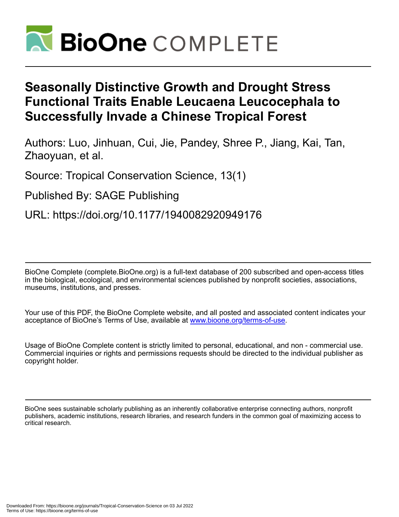

# **Seasonally Distinctive Growth and Drought Stress Functional Traits Enable Leucaena Leucocephala to Successfully Invade a Chinese Tropical Forest**

Authors: Luo, Jinhuan, Cui, Jie, Pandey, Shree P., Jiang, Kai, Tan, Zhaoyuan, et al.

Source: Tropical Conservation Science, 13(1)

Published By: SAGE Publishing

URL: https://doi.org/10.1177/1940082920949176

BioOne Complete (complete.BioOne.org) is a full-text database of 200 subscribed and open-access titles in the biological, ecological, and environmental sciences published by nonprofit societies, associations, museums, institutions, and presses.

Your use of this PDF, the BioOne Complete website, and all posted and associated content indicates your acceptance of BioOne's Terms of Use, available at www.bioone.org/terms-of-use.

Usage of BioOne Complete content is strictly limited to personal, educational, and non - commercial use. Commercial inquiries or rights and permissions requests should be directed to the individual publisher as copyright holder.

BioOne sees sustainable scholarly publishing as an inherently collaborative enterprise connecting authors, nonprofit publishers, academic institutions, research libraries, and research funders in the common goal of maximizing access to critical research.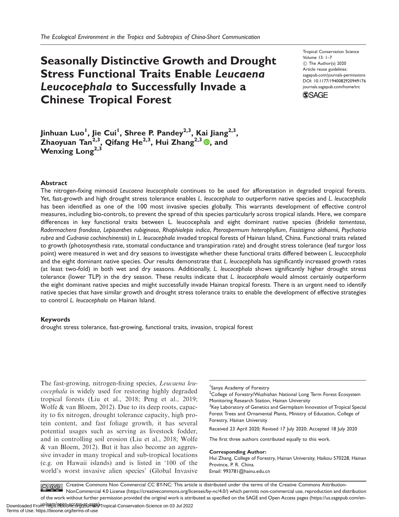## Seasonally Distinctive Growth and Drought Stress Functional Traits Enable Leucaena Leucocephala to Successfully Invade a Chinese Tropical Forest

Tropical Conservation Science Volume 13: 1–7 C The Author(s) 2020 Article reuse guidelines: [sagepub.com/journals-permissions](http://us.sagepub.com/en-us/journals-permissions) [DOI: 10.1177/1940082920949176](http://dx.doi.org/10.1177/1940082920949176) <journals.sagepub.com/home/trc>



Jinhuan Luo<sup>l</sup>, Jie Cui<sup>l</sup>, Shree P. Pandey<sup>2,3</sup>, Kai Jiang<sup>2,3</sup>, Zhaoyuan Tan<sup>2,3</sup>, Qifang He<sup>2,3</sup>, Hui Zhang<sup>2,3</sup> (0, and Wenxing Long<sup>2,3</sup>

#### Abstract

The nitrogen-fixing mimosid Leucaena leucocephala continues to be used for afforestation in degraded tropical forests. Yet, fast-growth and high drought stress tolerance enables L. leucocephala to outperform native species and L. leucocephala has been identified as one of the 100 most invasive species globally. This warrants development of effective control measures, including bio-controls, to prevent the spread of this species particularly across tropical islands. Here, we compare differences in key functional traits between L. leucocephala and eight dominant native species (Bridelia tomentosa, Radermachera frondosa, Lepisanthes rubiginosa, Rhaphiolepis indica, Pterospermum heterophyllum, Fissistigma oldhamii, Psychotria rubra and Cudrania cochinchinensis) in L. leucocephala invaded tropical forests of Hainan Island, China. Functional traits related to growth (photosynthesis rate, stomatal conductance and transpiration rate) and drought stress tolerance (leaf turgor loss point) were measured in wet and dry seasons to investigate whether these functional traits differed between L. leucocephala and the eight dominant native species. Our results demonstrate that L. leucocephala has significantly increased growth rates (at least two-fold) in both wet and dry seasons. Additionally, L. leucocephala shows significantly higher drought stress tolerance (lower TLP) in the dry season. These results indicate that L. leucocephala would almost certainly outperform the eight dominant native species and might successfully invade Hainan tropical forests. There is an urgent need to identify native species that have similar growth and drought stress tolerance traits to enable the development of effective strategies to control L. leucocephala on Hainan Island.

#### Keywords

drought stress tolerance, fast-growing, functional traits, invasion, tropical forest

The fast-growing, nitrogen-fixing species, *Leucaena leu*cocephala is widely used for restoring highly degraded tropical forests (Liu et al., 2018; Peng et al., 2019; Wolfe & van Bloem, 2012). Due to its deep roots, capacity to fix nitrogen, drought tolerance capacity, high protein content, and fast foliage growth, it has several potential usages such as serving as livestock fodder, and in controlling soil erosion (Liu et al., 2018; Wolfe & van Bloem, 2012). But it has also become an aggressive invader in many tropical and sub-tropical locations (e.g. on Hawaii islands) and is listed in '100 of the world's worst invasive alien species' (Global Invasive

1 Sanya Academy of Forestry

<sup>2</sup>College of Forestry/Wuzhishan National Long Term Forest Ecosystem Monitoring Research Station, Hainan University

<sup>3</sup>Key Laboratory of Genetics and Germplasm Innovation of Tropical Special Forest Trees and Ornamental Plants, Ministry of Education, College of Forestry, Hainan University

Received 23 April 2020; Revised 17 July 2020; Accepted 18 July 2020

The first three authors contributed equally to this work.

Corresponding Author:

Hui Zhang, College of Forestry, Hainan University, Haikou 570228, Hainan Province, P. R. China. Email: [993781@hainu.edu.cn](mailto:993781@hainu.edu.cn)

Creative Commons Non Commercial CC BY-NC: This article is distributed under the terms of the Creative Commons Attribution- $\bigcirc$   $\bigcirc$   $\bigcirc$ NonCommercial 4.0 License (https://creativecommons.org/licenses/by-nc/4.0/) which permits non-commercial use, reproduction and distribution of the work without further permission provided the original work is attributed as specified on the SAGE and Open Access pages (https://us.sagepub.com/en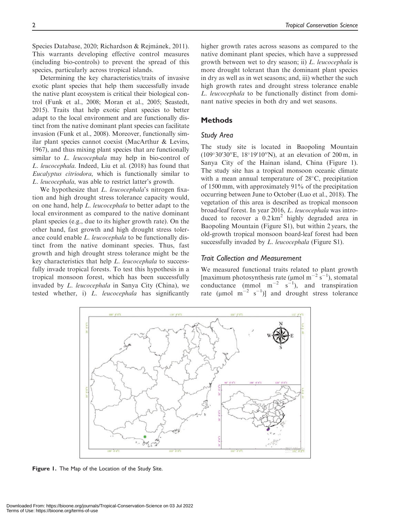Species Database, 2020; Richardson & Rejmánek, 2011). This warrants developing effective control measures (including bio-controls) to prevent the spread of this species, particularly across tropical islands.

Determining the key characteristics/traits of invasive exotic plant species that help them successfully invade the native plant ecosystem is critical their biological control (Funk et al., 2008; Moran et al., 2005; Seastedt, 2015). Traits that help exotic plant species to better adapt to the local environment and are functionally distinct from the native dominant plant species can facilitate invasion (Funk et al., 2008). Moreover, functionally similar plant species cannot coexist (MacArthur & Levins, 1967), and thus mixing plant species that are functionally similar to *L. leucocephala* may help in bio-control of L. leucocephala. Indeed, Liu et al. (2018) has found that Eucalyptus citriodora, which is functionally similar to L. leucocephala, was able to restrict latter's growth.

We hypothesize that *L. leucocephala's* nitrogen fixation and high drought stress tolerance capacity would, on one hand, help L. leucocephala to better adapt to the local environment as compared to the native dominant plant species (e.g., due to its higher growth rate). On the other hand, fast growth and high drought stress tolerance could enable L. leucocephala to be functionally distinct from the native dominant species. Thus, fast growth and high drought stress tolerance might be the key characteristics that help L. leucocephala to successfully invade tropical forests. To test this hypothesis in a tropical monsoon forest, which has been successfully invaded by L. leucocephala in Sanya City (China), we tested whether, i) L. leucocephala has significantly

higher growth rates across seasons as compared to the native dominant plant species, which have a suppressed growth between wet to dry season; ii) L. leucocephala is more drought tolerant than the dominant plant species in dry as well as in wet seasons; and, iii) whether the such high growth rates and drought stress tolerance enable L. leucocephala to be functionally distinct from dominant native species in both dry and wet seasons.

## **Methods**

### Study Area

The study site is located in Baopoling Mountain  $(109°30'30''E, 18°19'10''N)$ , at an elevation of 200 m, in Sanya City of the Hainan island, China (Figure 1). The study site has a tropical monsoon oceanic climate with a mean annual temperature of  $28^{\circ}$ C, precipitation of 1500 mm, with approximately 91% of the precipitation occurring between June to October (Luo et al., 2018). The vegetation of this area is described as tropical monsoon broad-leaf forest. In year 2016, L. leucocephala was introduced to recover a  $0.2 \text{ km}^2$  highly degraded area in Baopoling Mountain (Figure S1), but within 2 years, the old-growth tropical monsoon board-leaf forest had been successfully invaded by *L. leucocephala* (Figure S1).

#### Trait Collection and Measurement

We measured functional traits related to plant growth [maximum photosynthesis rate ( $\mu$ mol m<sup>-2</sup> s<sup>-1</sup>), stomatal conductance (mmol  $m^{-2}$  s<sup>-1</sup>), and transpiration rate ( $\mu$ mol m<sup>-2</sup> s<sup>-1</sup>)] and drought stress tolerance



Figure 1. The Map of the Location of the Study Site.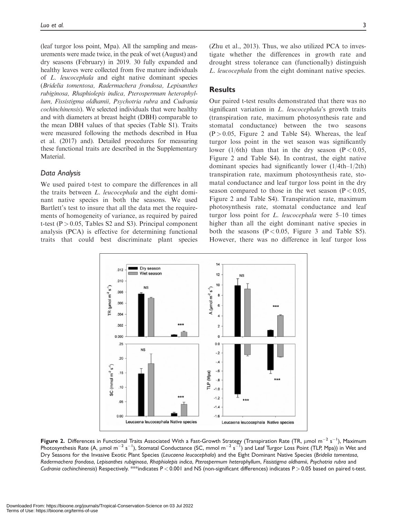(leaf turgor loss point, Mpa). All the sampling and measurements were made twice, in the peak of wet (August) and dry seasons (February) in 2019. 30 fully expanded and healthy leaves were collected from five mature individuals of L. leucocephala and eight native dominant species (Bridelia tomentosa, Radermachera frondosa, Lepisanthes rubiginosa, Rhaphiolepis indica, Pterospermum heterophyllum, Fissistigma oldhamii, Psychotria rubra and Cudrania cochinchinensis). We selected individuals that were healthy and with diameters at breast height (DBH) comparable to the mean DBH values of that species (Table S1). Traits were measured following the methods described in Hua et al. (2017) and). Detailed procedures for measuring these functional traits are described in the Supplementary Material.

## Data Analysis

We used paired t-test to compare the differences in all the traits between L. leucocephala and the eight dominant native species in both the seasons. We used Bartlett's test to insure that all the data met the requirements of homogeneity of variance, as required by paired t-test ( $P > 0.05$ , Tables S2 and S3). Principal component analysis (PCA) is effective for determining functional traits that could best discriminate plant species

(Zhu et al., 2013). Thus, we also utilized PCA to investigate whether the differences in growth rate and drought stress tolerance can (functionally) distinguish L. leucocephala from the eight dominant native species.

## **Results**

Our paired t-test results demonstrated that there was no significant variation in L. leucocephala's growth traits (transpiration rate, maximum photosynthesis rate and stomatal conductance) between the two seasons  $(P > 0.05$ , Figure 2 and Table S4). Whereas, the leaf turgor loss point in the wet season was significantly lower (1/6th) than that in the dry season ( $P < 0.05$ , Figure 2 and Table S4). In contrast, the eight native dominant species had significantly lower (1/4th–1/2th) transpiration rate, maximum photosynthesis rate, stomatal conductance and leaf turgor loss point in the dry season compared to those in the wet season ( $P < 0.05$ , Figure 2 and Table S4). Transpiration rate, maximum photosynthesis rate, stomatal conductance and leaf turgor loss point for L. leucocephala were 5–10 times higher than all the eight dominant native species in both the seasons  $(P < 0.05$ , Figure 3 and Table S5). However, there was no difference in leaf turgor loss



Figure 2. Differences in Functional Traits Associated With a Fast-Growth Strategy (Transpiration Rate (TR, µmol m $^{-2}$  s $^{-1}$ ), Maximum Photosynthesis Rate (A,  $\mu$ mol m $^{-2}$  s $^{-1}$ ), Stomatal Conductance (SC, mmol m $^{-2}$  s $^{-1}$ ) and Leaf Turgor Loss Point (TLP, Mpa)) in Wet and Dry Seasons for the Invasive Exotic Plant Species (Leucaena leucocephala) and the Eight Dominant Native Species (Bridelia tomentosa, Radermachera frondosa, Lepisanthes rubiginosa, Rhaphiolepis indica, Pterospermum heterophyllum, Fissistigma oldhamii, Psychotria rubra and Cudrania cochinchinensis) Respectively. \*\*indicates  $P < 0.001$  and NS (non-significant differences) indicates  $P > 0.05$  based on paired t-test.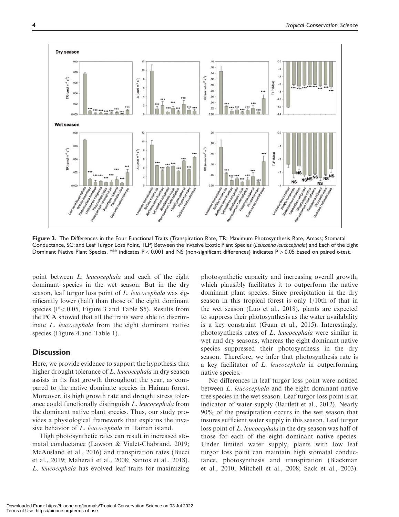

Figure 3. The Differences in the Four Functional Traits (Transpiration Rate, TR; Maximum Photosynthesis Rate, Amass; Stomatal Conductance, SC; and Leaf Turgor Loss Point, TLP) Between the Invasive Exotic Plant Species (Leucaena leucocephala) and Each of the Eight Dominant Native Plant Species. \*\* indicates P < 0.001 and NS (non-significant differences) indicates P > 0.05 based on paired t-test.

point between L. leucocephala and each of the eight dominant species in the wet season. But in the dry season, leaf turgor loss point of L. leucocephala was significantly lower (half) than those of the eight dominant species ( $P < 0.05$ , Figure 3 and Table S5). Results from the PCA showed that all the traits were able to discriminate L. leucocephala from the eight dominant native species (Figure 4 and Table 1).

## **Discussion**

Here, we provide evidence to support the hypothesis that higher drought tolerance of L. leucocephala in dry season assists in its fast growth throughout the year, as compared to the native dominate species in Hainan forest. Moreover, its high growth rate and drought stress tolerance could functionally distinguish L. leucocephala from the dominant native plant species. Thus, our study provides a physiological framework that explains the invasive behavior of L. leucocephala in Hainan island.

High photosynthetic rates can result in increased stomatal conductance (Lawson & Vialet-Chabrand, 2019; McAusland et al., 2016) and transpiration rates (Bucci et al., 2019; Maherali et al., 2008; Santos et al., 2018). L. leucocephala has evolved leaf traits for maximizing

photosynthetic capacity and increasing overall growth, which plausibly facilitates it to outperform the native dominant plant species. Since precipitation in the dry season in this tropical forest is only 1/10th of that in the wet season (Luo et al., 2018), plants are expected to suppress their photosynthesis as the water availability is a key constraint (Guan et al., 2015). Interestingly, photosynthesis rates of L. leucocephala were similar in wet and dry seasons, whereas the eight dominant native species suppressed their photosynthesis in the dry season. Therefore, we infer that photosynthesis rate is a key facilitator of L. leucocephala in outperforming native species.

No differences in leaf turgor loss point were noticed between *L. leucocephala* and the eight dominant native tree species in the wet season. Leaf turgor loss point is an indicator of water supply (Bartlett et al., 2012). Nearly 90% of the precipitation occurs in the wet season that insures sufficient water supply in this season. Leaf turgor loss point of L. leucocephala in the dry season was half of those for each of the eight dominant native species. Under limited water supply, plants with low leaf turgor loss point can maintain high stomatal conductance, photosynthesis and transpiration (Blackman et al., 2010; Mitchell et al., 2008; Sack et al., 2003).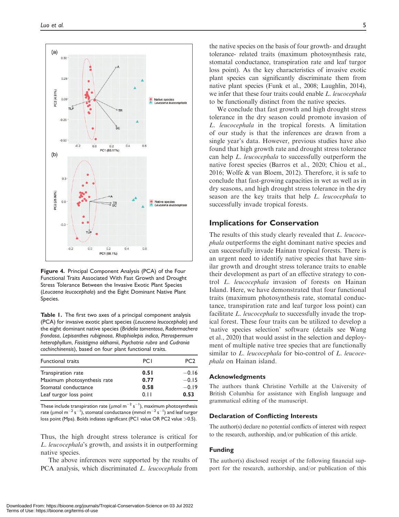

Figure 4. Principal Component Analysis (PCA) of the Four Functional Traits Associated With Fast Growth and Drought Stress Tolerance Between the Invasive Exotic Plant Species (Leucaena leucocephala) and the Eight Dominant Native Plant Species.

Table 1. The first two axes of a principal component analysis (PCA) for invasive exotic plant species (Leucaena leucocephala) and the eight dominant native species (Bridelia tomentosa, Radermachera frondosa, Lepisanthes rubiginosa, Rhaphiolepis indica, Pterospermum heterophyllum, Fissistigma oldhamii, Psychotria rubra and Cudrania cochinchinensis), based on four plant functional traits.

| Functional traits           | <b>PCI</b> | PC <sub>2</sub> |
|-----------------------------|------------|-----------------|
| Transpiration rate          | 0.51       | $-0.16$         |
| Maximum photosynthesis rate | 0.77       | $-0.15$         |
| Stomatal conductance        | 0.58       | $-0.19$         |
| Leaf turgor loss point      | 0.11       | 0.53            |

These include transpiration rate (µmol m $^{-2}$  s $^{-1}$ ), maximum photosynthesis rate (µmol m $^{-2}$  s $^{-1}$ ), stomatal conductance (mmol m $^{-2}$  s $^{-1})$  and leaf turgor loss point (Mpa). Bolds indiates significant (PC1 value OR PC2 value > 0.5).

Thus, the high drought stress tolerance is critical for L. leucocephala's growth, and assists it in outperforming native species.

The above inferences were supported by the results of PCA analysis, which discriminated *L. leucocephala* from

the native species on the basis of four growth- and draught tolerance- related traits (maximum photosynthesis rate, stomatal conductance, transpiration rate and leaf turgor loss point). As the key characteristics of invasive exotic plant species can significantly discriminate them from native plant species (Funk et al., 2008; Laughlin, 2014), we infer that these four traits could enable L. leucocephala to be functionally distinct from the native species.

We conclude that fast growth and high drought stress tolerance in the dry season could promote invasion of L. leucocephala in the tropical forests. A limitation of our study is that the inferences are drawn from a single year's data. However, previous studies have also found that high growth rate and drought stress tolerance can help L. leucocephala to successfully outperform the native forest species (Barros et al., 2020; Chiou et al., 2016; Wolfe & van Bloem, 2012). Therefore, it is safe to conclude that fast-growing capacities in wet as well as in dry seasons, and high drought stress tolerance in the dry season are the key traits that help L. leucocephala to successfully invade tropical forests.

## Implications for Conservation

The results of this study clearly revealed that L. leucocephala outperforms the eight dominant native species and can successfully invade Hainan tropical forests. There is an urgent need to identify native species that have similar growth and drought stress tolerance traits to enable their development as part of an effective strategy to control L. leucocephala invasion of forests on Hainan Island. Here, we have demonstrated that four functional traits (maximum photosynthesis rate, stomatal conductance, transpiration rate and leaf turgor loss point) can facilitate *L. leucocephala* to successfully invade the tropical forest. These four traits can be utilized to develop a 'native species selection' software (details see Wang et al., 2020) that would assist in the selection and deployment of multiple native tree species that are functionally similar to L. leucocephala for bio-control of L. leucocephala on Hainan island.

#### Acknowledgments

The authors thank Christine Verhille at the University of British Columbia for assistance with English language and grammatical editing of the manuscript.

#### Declaration of Conflicting Interests

The author(s) declare no potential conflicts of interest with respect to the research, authorship, and/or publication of this article.

## Funding

The author(s) disclosed receipt of the following financial support for the research, authorship, and/or publication of this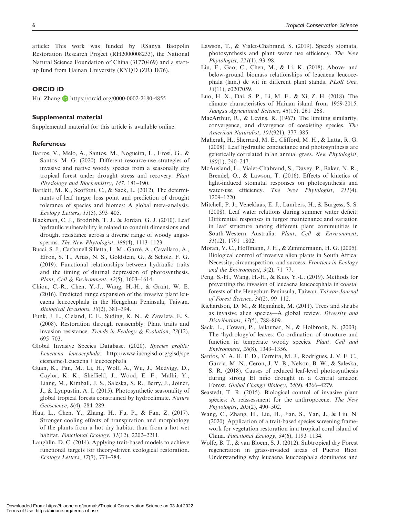article: This work was funded by RSanya Baopolin Restoration Research Project (RH2000008233), the National Natural Science Foundation of China (31770469) and a startup fund from Hainan University (KYQD (ZR) 1876).

## ORCID iD

Hui Zhang **b** <https://orcid.org/0000-0002-2180-4855>

### Supplemental material

Supplemental material for this article is available online.

#### **References**

- Barros, V., Melo, A., Santos, M., Nogueira, L., Frosi, G., & Santos, M. G. (2020). Different resource-use strategies of invasive and native woody species from a seasonally dry tropical forest under drought stress and recovery. Plant Physiology and Biochemistry, 147, 181–190.
- Bartlett, M. K., Scoffoni, C., & Sack, L. (2012). The determinants of leaf turgor loss point and prediction of drought tolerance of species and biomes: A global meta-analysis. Ecology Letters, 15(5), 393–405.
- Blackman, C. J., Brodribb, T. J., & Jordan, G. J. (2010). Leaf hydraulic vulnerability is related to conduit dimensions and drought resistance across a diverse range of woody angiosperms. The New Phytologist, 188(4), 1113-1123.
- Bucci, S. J., Carbonell Silletta, L. M., Garre, A., Cavallaro, A., Efron, S. T., Arias, N. S., Goldstein, G., & Scholz, F. G. (2019). Functional relationships between hydraulic traits and the timing of diurnal depression of photosynthesis. Plant, Cell & Environment, 42(5), 1603–1614.
- Chiou, C.-R., Chen, Y.-J., Wang, H.-H., & Grant, W. E. (2016). Predicted range expansion of the invasive plant leucaena leucocephala in the Hengchun Peninsula, Taiwan. Biological Invasions, 18(2), 381–394.
- Funk, J. L., Cleland, E. E., Suding, K. N., & Zavaleta, E. S. (2008). Restoration through reassembly: Plant traits and invasion resistance. Trends in Ecology & Evolution, 23(12), 695–703.
- Global Invasive Species Database. (2020). Species profile: Leucaena leucocephala. [http://www.iucngisd.org/gisd/spe](http://www.iucngisd.org/gisd/speciesname/Leucaena+leucocephala) [ciesname/Leucaena+leucocephala](http://www.iucngisd.org/gisd/speciesname/Leucaena+leucocephala)
- Guan, K., Pan, M., Li, H., Wolf, A., Wu, J., Medvigy, D., Caylor, K. K., Sheffield, J., Wood, E. F., Malhi, Y., Liang, M., Kimball, J. S., Saleska, S. R., Berry, J., Joiner, J., & Lyapustin, A. I. (2015). Photosynthetic seasonality of global tropical forests constrained by hydroclimate. Nature Geoscience, 8(4), 284–289.
- Hua, L., Chen, Y., Zhang, H., Fu, P., & Fan, Z. (2017). Stronger cooling effects of transpiration and morphology of the plants from a hot dry habitat than from a hot wet habitat. Functional Ecology, 31(12), 2202-2211.
- Laughlin, D. C. (2014). Applying trait-based models to achieve functional targets for theory-driven ecological restoration. Ecology Letters, 17(7), 771–784.
- Lawson, T., & Vialet-Chabrand, S. (2019). Speedy stomata, photosynthesis and plant water use efficiency. The New Phytologist, 221(1), 93–98.
- Liu, F., Gao, C., Chen, M., & Li, K. (2018). Above- and below-ground biomass relationships of leucaena leucocephala (lam.) de wit in different plant stands. PLoS One, 13(11), e0207059.
- Luo, H. X., Dai, S. P., Li, M. F., & Xi, Z. H. (2018). The climate characteristics of Hainan island from 1959-2015. Jiangsu Agricultural Science, 46(15), 261–268.
- MacArthur, R., & Levins, R. (1967). The limiting similarity, convergence, and divergence of coexisting species. The American Naturalist, 101(921), 377–385.
- Maherali, H., Sherrard, M. E., Clifford, M. H., & Latta, R. G. (2008). Leaf hydraulic conductance and photosynthesis are genetically correlated in an annual grass. New Phytologist, 180(1), 240–247.
- McAusland, L., Vialet-Chabrand, S., Davey, P., Baker, N. R., Brendel, O., & Lawson, T. (2016). Effects of kinetics of light-induced stomatal responses on photosynthesis and water-use efficiency. The New Phytologist, 211(4), 1209–1220.
- Mitchell, P. J., Veneklaas, E. J., Lambers, H., & Burgess, S. S. (2008). Leaf water relations during summer water deficit: Differential responses in turgor maintenance and variation in leaf structure among different plant communities in South-Western Australia. Plant, Cell & Environment, 31(12), 1791–1802.
- Moran, V. C., Hoffmann, J. H., & Zimmermann, H. G. (2005). Biological control of invasive alien plants in South Africa: Necessity, circumspection, and success. Frontiers in Ecology and the Environment, 3(2), 71–77.
- Peng, S.-H., Wang, H.-H., & Kuo, Y.-L. (2019). Methods for preventing the invasion of leucaena leucocephala in coastal forests of the Hengchun Peninsula, Taiwan. Taiwan Journal of Forest Science, 34(2), 99–112.
- Richardson, D. M., & Rejmánek, M. (2011). Trees and shrubs as invasive alien species—A global review. Diversity and Distributions, 17(5), 788–809.
- Sack, L., Cowan, P., Jaikumar, N., & Holbrook, N. (2003). The 'hydrology'of leaves: Co-ordination of structure and function in temperate woody species. Plant, Cell and Environment, 26(8), 1343–1356.
- Santos, V. A. H. F. D., Ferreira, M. J., Rodrigues, J. V. F. C., Garcia, M. N., Ceron, J. V. B., Nelson, B. W., & Saleska, S. R. (2018). Causes of reduced leaf-level photosynthesis during strong El niño drought in a Central amazon Forest. Global Change Biology, 24(9), 4266–4279.
- Seastedt, T. R. (2015). Biological control of invasive plant species: A reassessment for the anthropocene. The New Phytologist, 205(2), 490–502.
- Wang, C., Zhang, H., Liu, H., Jian, S., Yan, J., & Liu, N. (2020). Application of a trait-based species screening framework for vegetation restoration in a tropical coral island of China. Functional Ecology, 34(6), 1193–1134.
- Wolfe, B. T., & van Bloem, S. J. (2012). Subtropical dry Forest regeneration in grass-invaded areas of Puerto Rico: Understanding why leucaena leucocephala dominates and